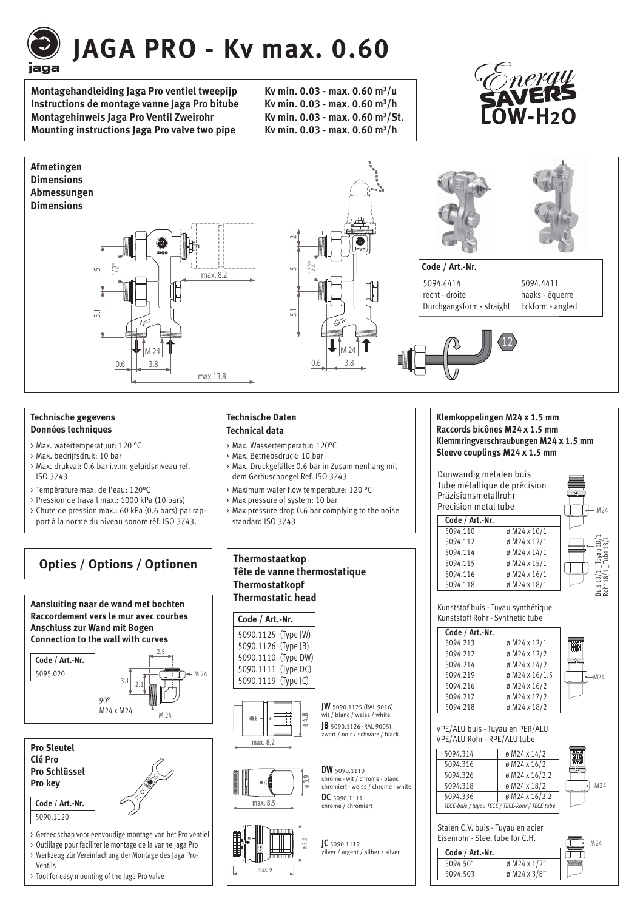

# **JAGA PRO - Kv max. 0.60**

**Montagehandleiding Jaga Pro ventiel tweepijp Instructions de montage vanne Jaga Pro bitube Montagehinweis Jaga Pro Ventil Zweirohr Mounting instructions Jaga Pro valve two pipe.** 

Kv min.  $0.03 - max$ .  $0.60$  m<sup>3</sup>/u Ky min. 0.03 - max. 0.60 m<sup>3</sup>/h Kv min. 0.03 - max. 0.60 m<sup>3</sup>/St. Kv min. 0.03 - max. 0.60 m<sup>3</sup>/h





#### **Technische gegevens Données techniques**

- > Max. watertemperatuur: 120 °C
- > Max. bedrijfsdruk: 10 bar
- > Max. drukval: 0.6 bar i.v.m. geluidsniveau ref. ISO 3743
- > Température max. de l'eau: 120°C
- > Pression de travail max.: 1000 kPa (10 bars)
- > Chute de pression max.: 60 kPa (0.6 bars) par rapport à la norme du niveau sonore réf. ISO 3743.

#### **Technische Daten Technical data**

- > Max. Wassertemperatur: 120°C
- > Max. Betriebsdruck: 10 bar
- > Max. Druckgefälle: 0.6 bar in Zusammenhang mit dem Geräuschpegel Ref. ISO 3743
- > Maximum water flow temperature: 120 °C
- > Max pressure of system: 10 bar
- > Max pressure drop 0.6 bar complying to the noise standard ISO 3743



- > Outillage pour faciliter le montage de la vanne Jaga Pro
- > Werkzeug zür Vereinfachung der Montage des Jaga Pro-Ventils
- > Tool for easy mounting of the Jaga Pro valve

## **Tête de vanne thermostatique Thermostatkopf Thermostatic head**

#### **Code / Art.-Nr.**

| 5090.1125 (Type JW) |  |  |
|---------------------|--|--|
| 5090.1126 (Type JB) |  |  |
| 5090.1110 (Type DW) |  |  |
| 5090.1111 (Type DC) |  |  |
| 5090.1119 (Type JC) |  |  |





5 1<br>5<br>9

## **DW** 5090.1110 **DC** 5090.1111 chrome / chromiert

**JW** 5090.1125 (RAL 9016) wit / blanc / weiss / white **JB** 5090.1126 (RAL 9005) zwart / noir / schwarz / black



chrome - wit / chrome - blanc chromiert - weiss / chrome - white

**JC** 5090.1119 zilver / argent / silber / silver

### **Klemkoppelingen M24 x 1.5 mm Raccords bicônes M24 x 1.5 mm KlemmringverschraubungenM24 x 1.5 mm**

 **Sleeve couplings M24 x 1.5 mm**



Kunststoff Rohr - Synthetic tube

| Code / Art.-Nr. |                |        |
|-----------------|----------------|--------|
| 5094.213        | ø M24 x 12/1   |        |
| 5094.212        | ø M24 x 12/2   |        |
| 5094.214        | ø M24 x 14/2   |        |
| 5094.219        | ø M24 x 16/1.5 | $-M24$ |
| 5094.216        | ø M24 x 16/2   |        |
| 5094.217        | ø M24 x 17/2   |        |
| 5094.218        | ø M24 x 18/2   |        |

 VPE/ALU buis - Tuyau en PER/ALU VPE/ALU Rohr - RPE/ALU tube